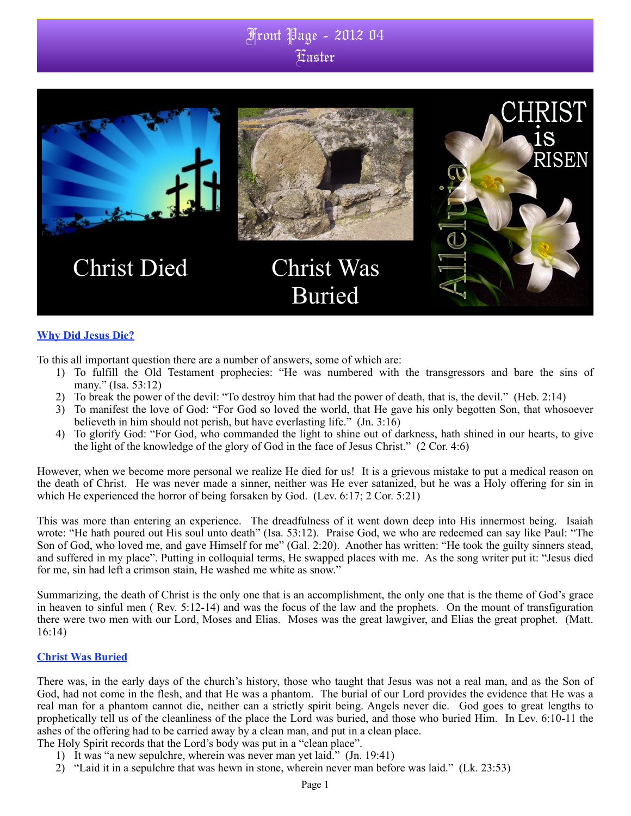## Front Page - 2012 04 Easter



#### **Why Did Jesus Die?**

To this all important question there are a number of answers, some of which are:

- 1) To fulfill the Old Testament prophecies: "He was numbered with the transgressors and bare the sins of many." (Isa. 53:12)
- 2) To break the power of the devil: "To destroy him that had the power of death, that is, the devil." (Heb. 2:14)
- 3) To manifest the love of God: "For God so loved the world, that He gave his only begotten Son, that whosoever believeth in him should not perish, but have everlasting life." (Jn. 3:16)
- 4) To glorify God: "For God, who commanded the light to shine out of darkness, hath shined in our hearts, to give the light of the knowledge of the glory of God in the face of Jesus Christ." (2 Cor. 4:6)

However, when we become more personal we realize He died for us! It is a grievous mistake to put a medical reason on the death of Christ. He was never made a sinner, neither was He ever satanized, but he was a Holy offering for sin in which He experienced the horror of being forsaken by God. (Lev. 6:17; 2 Cor. 5:21)

This was more than entering an experience. The dreadfulness of it went down deep into His innermost being. Isaiah wrote: "He hath poured out His soul unto death" (Isa. 53:12). Praise God, we who are redeemed can say like Paul: "The Son of God, who loved me, and gave Himself for me" (Gal. 2:20). Another has written: "He took the guilty sinners stead, and suffered in my place". Putting in colloquial terms, He swapped places with me. As the song writer put it: "Jesus died for me, sin had left a crimson stain, He washed me white as snow."

Summarizing, the death of Christ is the only one that is an accomplishment, the only one that is the theme of God's grace in heaven to sinful men ( Rev. 5:12-14) and was the focus of the law and the prophets. On the mount of transfiguration there were two men with our Lord, Moses and Elias. Moses was the great lawgiver, and Elias the great prophet. (Matt. 16:14)

#### **Christ Was Buried**

There was, in the early days of the church's history, those who taught that Jesus was not a real man, and as the Son of God, had not come in the flesh, and that He was a phantom. The burial of our Lord provides the evidence that He was a real man for a phantom cannot die, neither can a strictly spirit being. Angels never die. God goes to great lengths to prophetically tell us of the cleanliness of the place the Lord was buried, and those who buried Him. In Lev. 6:10-11 the ashes of the offering had to be carried away by a clean man, and put in a clean place.

- The Holy Spirit records that the Lord's body was put in a "clean place".
	- 1) It was "a new sepulchre, wherein was never man yet laid." (Jn. 19:41)
	- 2) "Laid it in a sepulchre that was hewn in stone, wherein never man before was laid." (Lk. 23:53)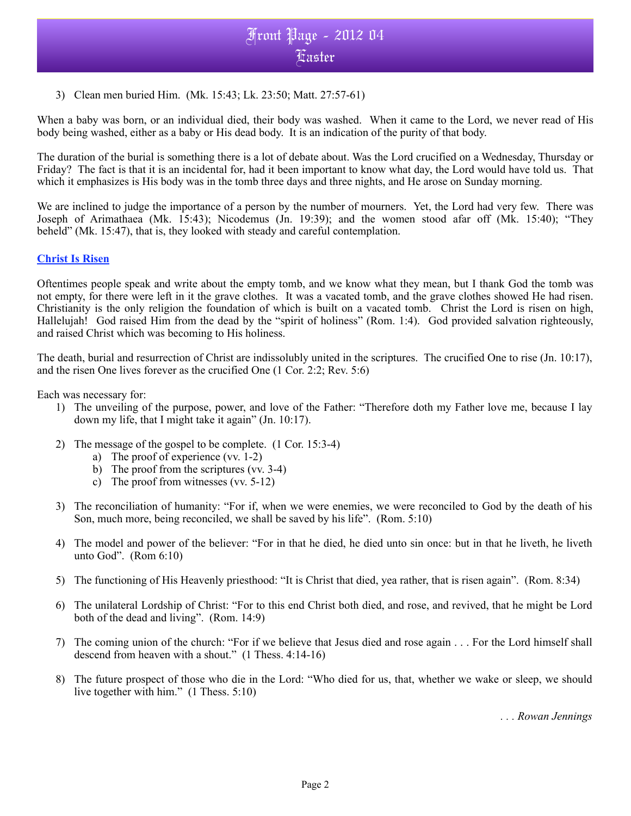### Front Page - 2012 04 Easter

3) Clean men buried Him. (Mk. 15:43; Lk. 23:50; Matt. 27:57-61)

When a baby was born, or an individual died, their body was washed. When it came to the Lord, we never read of His body being washed, either as a baby or His dead body. It is an indication of the purity of that body.

The duration of the burial is something there is a lot of debate about. Was the Lord crucified on a Wednesday, Thursday or Friday? The fact is that it is an incidental for, had it been important to know what day, the Lord would have told us. That which it emphasizes is His body was in the tomb three days and three nights, and He arose on Sunday morning.

We are inclined to judge the importance of a person by the number of mourners. Yet, the Lord had very few. There was Joseph of Arimathaea (Mk. 15:43); Nicodemus (Jn. 19:39); and the women stood afar off (Mk. 15:40); "They beheld" (Mk. 15:47), that is, they looked with steady and careful contemplation.

### **Christ Is Risen**

Oftentimes people speak and write about the empty tomb, and we know what they mean, but I thank God the tomb was not empty, for there were left in it the grave clothes. It was a vacated tomb, and the grave clothes showed He had risen. Christianity is the only religion the foundation of which is built on a vacated tomb. Christ the Lord is risen on high, Hallelujah! God raised Him from the dead by the "spirit of holiness" (Rom. 1:4). God provided salvation righteously, and raised Christ which was becoming to His holiness.

The death, burial and resurrection of Christ are indissolubly united in the scriptures. The crucified One to rise (Jn. 10:17), and the risen One lives forever as the crucified One (1 Cor. 2:2; Rev. 5:6)

Each was necessary for:

- 1) The unveiling of the purpose, power, and love of the Father: "Therefore doth my Father love me, because I lay down my life, that I might take it again" (Jn. 10:17).
- 2) The message of the gospel to be complete. (1 Cor. 15:3-4)
	- a) The proof of experience (vv. 1-2)
	- b) The proof from the scriptures (vv. 3-4)
	- c) The proof from witnesses (vv. 5-12)
- 3) The reconciliation of humanity: "For if, when we were enemies, we were reconciled to God by the death of his Son, much more, being reconciled, we shall be saved by his life". (Rom. 5:10)
- 4) The model and power of the believer: "For in that he died, he died unto sin once: but in that he liveth, he liveth unto God". (Rom 6:10)
- 5) The functioning of His Heavenly priesthood: "It is Christ that died, yea rather, that is risen again". (Rom. 8:34)
- 6) The unilateral Lordship of Christ: "For to this end Christ both died, and rose, and revived, that he might be Lord both of the dead and living". (Rom. 14:9)
- 7) The coming union of the church: "For if we believe that Jesus died and rose again . . . For the Lord himself shall descend from heaven with a shout." (1 Thess. 4:14-16)
- 8) The future prospect of those who die in the Lord: "Who died for us, that, whether we wake or sleep, we should live together with him." (1 Thess. 5:10)

*. . . Rowan Jennings*